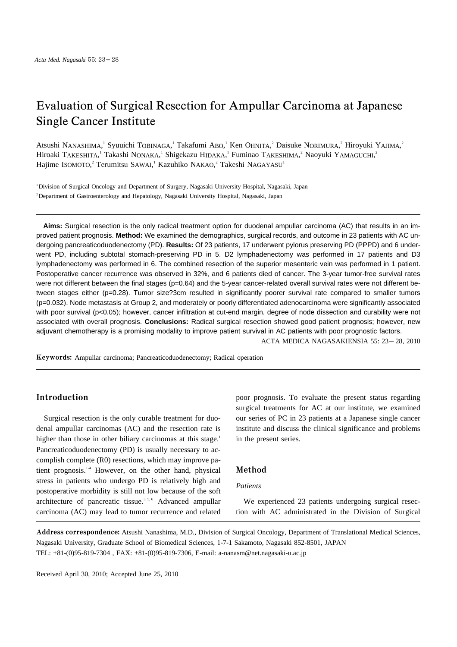# Evaluation of Surgical Resection for Ampullar Carcinoma at Japanese Single Cancer Institute

Atsushi NANASHIMA, Syuuichi TOBINAGA, Takafumi ABO, Ken OHNITA, Daisuke NORIMURA, Hiroyuki YAJIMA, Hiroaki TAKESHITA, Takashi NONAKA, 'Shigekazu HIDAKA, ' Fuminao TAKESHIMA, ' Naoyuki YAMAGUCHI, ' Hajime ISOMOTO,<sup>2</sup> Terumitsu SAWAI,<sup>1</sup> Kazuhiko NAKAO,<sup>2</sup> Takeshi NAGAYASU<sup>1</sup>

<sup>1</sup>Division of Surgical Oncology and Department of Surgery, Nagasaki University Hospital, Nagasaki, Japan <sup>2</sup>Department of Gastroenterology and Hepatology, Nagasaki University Hospital, Nagasaki, Japan

**Aims:** Surgical resection is the only radical treatment option for duodenal ampullar carcinoma (AC) that results in an improved patient prognosis. **Method:** We examined the demographics, surgical records, and outcome in 23 patients with AC undergoing pancreaticoduodenectomy (PD). **Results:** Of 23 patients, 17 underwent pylorus preserving PD (PPPD) and 6 underwent PD, including subtotal stomach-preserving PD in 5. D2 lymphadenectomy was performed in 17 patients and D3 lymphadenectomy was performed in 6. The combined resection of the superior mesenteric vein was performed in 1 patient. Postoperative cancer recurrence was observed in 32%, and 6 patients died of cancer. The 3-year tumor-free survival rates were not different between the final stages (p=0.64) and the 5-year cancer-related overall survival rates were not different between stages either (p=0.28). Tumor size?3cm resulted in significantly poorer survival rate compared to smaller tumors (p=0.032). Node metastasis at Group 2, and moderately or poorly differentiated adenocarcinoma were significantly associated with poor survival (p<0.05); however, cancer infiltration at cut-end margin, degree of node dissection and curability were not associated with overall prognosis. **Conclusions:** Radical surgical resection showed good patient prognosis; however, new adjuvant chemotherapy is a promising modality to improve patient survival in AC patients with poor prognostic factors.

ACTA MEDICA NAGASAKIENSIA 55: 23 28, 2010

Keywords: Ampullar carcinoma; Pancreaticoduodenectomy; Radical operation

# Introduction

Surgical resection is the only curable treatment for duodenal ampullar carcinomas (AC) and the resection rate is higher than those in other biliary carcinomas at this stage.<sup>1</sup> Pancreaticoduodenectomy (PD) is usually necessary to accomplish complete (R0) resections, which may improve patient prognosis. 1-4 However, on the other hand, physical stress in patients who undergo PD is relatively high and postoperative morbidity is still not low because of the soft architecture of pancreatic tissue.<sup>3,5,6</sup> Advanced ampullar carcinoma (AC) may lead to tumor recurrence and related

poor prognosis. To evaluate the present status regarding surgical treatments for AC at our institute, we examined our series of PC in 23 patients at a Japanese single cancer institute and discuss the clinical significance and problems in the present series.

## Method

## *Patients*

We experienced 23 patients undergoing surgical resection with AC administrated in the Division of Surgical

Address correspondence: Atsushi Nanashima, M.D., Division of Surgical Oncology, Department of Translational Medical Sciences, Nagasaki University, Graduate School of Biomedical Sciences, 1-7-1 Sakamoto, Nagasaki 852-8501, JAPAN TEL: +81-(0)95-819-7304 , FAX: +81-(0)95-819-7306, E-mail: a-nanasm@net.nagasaki-u.ac.jp

Received April 30, 2010; Accepted June 25, 2010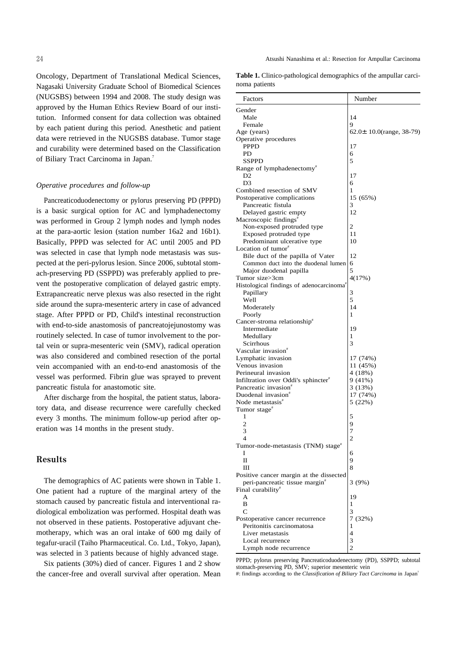Oncology, Department of Translational Medical Sciences, Nagasaki University Graduate School of Biomedical Sciences (NUGSBS) between 1994 and 2008. The study design was approved by the Human Ethics Review Board of our institution. Informed consent for data collection was obtained by each patient during this period. Anesthetic and patient data were retrieved in the NUGSBS database. Tumor stage and curability were determined based on the Classification of Biliary Tract Carcinoma in Japan.<sup>7</sup>

#### *Operative procedures and follow-up*

Pancreaticoduodenectomy or pylorus preserving PD (PPPD) is a basic surgical option for AC and lymphadenectomy was performed in Group 2 lymph nodes and lymph nodes at the para-aortic lesion (station number 16a2 and 16b1). Basically, PPPD was selected for AC until 2005 and PD was selected in case that lymph node metastasis was suspected at the peri-pylorus lesion. Since 2006, subtotal stomach-preserving PD (SSPPD) was preferably applied to prevent the postoperative complication of delayed gastric empty. Extrapancreatic nerve plexus was also resected in the right side around the supra-mesenteric artery in case of advanced stage. After PPPD or PD, Child's intestinal reconstruction with end-to-side anastomosis of pancreatojejunostomy was routinely selected. In case of tumor involvement to the portal vein or supra-mesenteric vein (SMV), radical operation was also considered and combined resection of the portal vein accompanied with an end-to-end anastomosis of the vessel was performed. Fibrin glue was sprayed to prevent pancreatic fistula for anastomotic site.

After discharge from the hospital, the patient status, laboratory data, and disease recurrence were carefully checked every 3 months. The minimum follow-up period after operation was 14 months in the present study.

## Results

The demographics of AC patients were shown in Table 1. One patient had a rupture of the marginal artery of the stomach caused by pancreatic fistula and interventional radiological embolization was performed. Hospital death was not observed in these patients. Postoperative adjuvant chemotherapy, which was an oral intake of 600 mg daily of tegafur-uracil (Taiho Pharmaceutical. Co. Ltd., Tokyo, Japan), was selected in 3 patients because of highly advanced stage.

Six patients (30%) died of cancer. Figures 1 and 2 show the cancer-free and overall survival after operation. Mean

**Table 1.** Clinico-pathological demographics of the ampullar carcinoma patients

| Factors                                              | Number                   |
|------------------------------------------------------|--------------------------|
| Gender                                               |                          |
| Male                                                 | 14                       |
| Female                                               | 9                        |
| Age (years)                                          | 62.0± 10.0(range, 38-79) |
| Operative procedures                                 |                          |
| <b>PPPD</b>                                          | 17                       |
| PD                                                   | 6                        |
| <b>SSPPD</b>                                         | 5                        |
| Range of lymphadenectomy <sup>#</sup>                |                          |
| D <sub>2</sub>                                       | 17                       |
| D <sub>3</sub>                                       | 6                        |
| Combined resection of SMV                            | 1                        |
| Postoperative complications                          | 15 (65%)                 |
| Pancreatic fistula                                   | 3                        |
| Delayed gastric empty                                | 12                       |
| Macroscopic findings <sup>#</sup>                    |                          |
| Non-exposed protruded type                           | 2                        |
| Exposed protruded type                               | 11                       |
| Predominant ulcerative type                          | 10                       |
| Location of tumor <sup>#</sup>                       |                          |
| Bile duct of the papilla of Vater                    | 12                       |
| Common duct into the duodenal lumen                  | 6                        |
| Major duodenal papilla                               | 5                        |
| Tumor size>3cm                                       | 4(17%)                   |
| Histological findings of adenocarcinoma <sup>#</sup> |                          |
| Papillary                                            | 3                        |
| Well                                                 | 5                        |
| Moderately                                           | 14                       |
| Poorly                                               | 1                        |
| Cancer-stroma relationship <sup>#</sup>              |                          |
| Intermediate                                         | 19                       |
| Medullary                                            | 1                        |
| Scirrhous                                            | 3                        |
| Vascular invasion <sup>#</sup>                       |                          |
| Lymphatic invasion                                   | 17 (74%)                 |
| Venous invasion                                      | 11 (45%)                 |
| Perineural invasion                                  | 4(18%)                   |
| Infiltration over Oddi's sphincter <sup>#</sup>      | 9(41%)                   |
| Pancreatic invasion"                                 | 3(13%)                   |
| Duodenal invasion <sup>*</sup>                       | 17 (74%)                 |
| Node metastasis <sup>*</sup>                         | 5(22%)                   |
| Tumor stage*                                         |                          |
| 1                                                    | 5                        |
| $\overline{2}$                                       | 9                        |
| 3                                                    | 7                        |
| 4                                                    | 2                        |
| Tumor-node-metastasis (TNM) stage <sup>#</sup>       |                          |
| 1                                                    | 6                        |
| П                                                    | 9                        |
| Ш                                                    | 8                        |
| Positive cancer margin at the dissected              |                          |
| peri-pancreatic tissue margin <sup>#</sup>           | 3(9%)                    |
| Final curability <sup>#</sup>                        |                          |
| A                                                    | 19                       |
| B                                                    | 1                        |
| C                                                    | 3                        |
| Postoperative cancer recurrence                      | 7(32%)                   |
| Peritonitis carcinomatosa                            | 1                        |
| Liver metastasis                                     | 4                        |
| Local recurrence                                     | 3                        |
| Lymph node recurrence                                | $\overline{2}$           |
|                                                      |                          |

PPPD; pylorus preserving Pancreaticoduodenectomy (PD), SSPPD; subtotal stomach-preserving PD, SMV; superior mesenteric vein

#: findings according to the *Classification of Biliary Tact Carcinoma* in Japan 7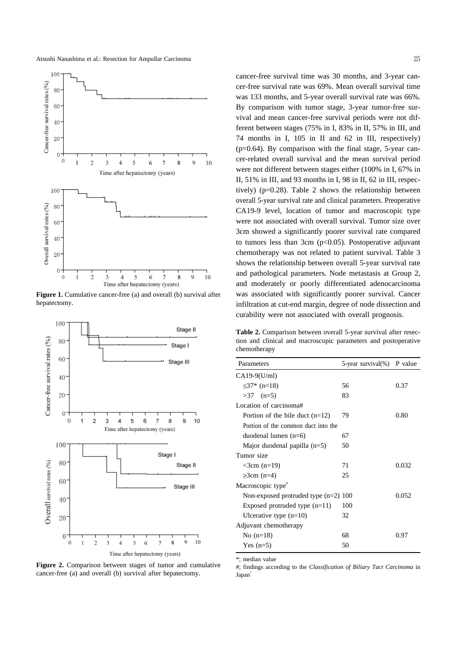Atsushi Nanashima et al.: Resection for Ampullar Carcinoma



**Figure 1.** Cumulative cancer-free (a) and overall (b) survival after hepatectomy.



**Figure 2.** Comparison between stages of tumor and cumulative cancer-free (a) and overall (b) survival after hepatectomy.

cancer-free survival time was 30 months, and 3-year cancer-free survival rate was 69%. Mean overall survival time was 133 months, and 5-year overall survival rate was 66%. By comparison with tumor stage, 3-year tumor-free survival and mean cancer-free survival periods were not different between stages (75% in I, 83% in II, 57% in III, and 74 months in I, 105 in II and 62 in III, respectively)  $(p=0.64)$ . By comparison with the final stage, 5-year cancer-related overall survival and the mean survival period were not different between stages either (100% in I, 67% in II, 51% in III, and 93 months in I, 98 in II, 62 in III, respectively) ( $p=0.28$ ). Table 2 shows the relationship between overall 5-year survival rate and clinical parameters. Preoperative CA19-9 level, location of tumor and macroscopic type were not associated with overall survival. Tumor size over 3cm showed a significantly poorer survival rate compared to tumors less than 3cm  $(p<0.05)$ . Postoperative adjuvant chemotherapy was not related to patient survival. Table 3 shows the relationship between overall 5-year survival rate and pathological parameters. Node metastasis at Group 2, and moderately or poorly differentiated adenocarcinoma was associated with significantly poorer survival. Cancer infiltration at cut-end margin, degree of node dissection and curability were not associated with overall prognosis.

**Table 2.** Comparison between overall 5-year survival after resection and clinical and macroscopic parameters and postoperative chemotherapy

| Parameters                             | 5-year survival(%) P value |       |
|----------------------------------------|----------------------------|-------|
| $CA19-9(U/ml)$                         |                            |       |
| ≤37* (n=18)                            | 56                         | 0.37  |
| $>37$ (n=5)                            | 83                         |       |
| Location of carcinoma#                 |                            |       |
| Portion of the bile duct $(n=12)$      | 79                         | 0.80  |
| Portion of the common duct into the    |                            |       |
| duodenal lumen $(n=6)$                 | 67                         |       |
| Major duodenal papilla $(n=5)$         | 50                         |       |
| Tumor size                             |                            |       |
| $<$ 3cm (n=19)                         | 71                         | 0.032 |
| $\geq$ 3cm (n=4)                       | 25                         |       |
| Macroscopic type <sup>#</sup>          |                            |       |
| Non-exposed protruded type $(n=2)$ 100 |                            | 0.052 |
| Exposed protruded type $(n=11)$        | 100                        |       |
| Ulcerative type $(n=10)$               | 32                         |       |
| Adjuvant chemotherapy                  |                            |       |
| No $(n=18)$                            | 68                         | 0.97  |
| Yes $(n=5)$                            | 50                         |       |

\*; median value

#; findings according to the *Classification of Biliary Tact Carcinoma* in Japan<sup>7</sup>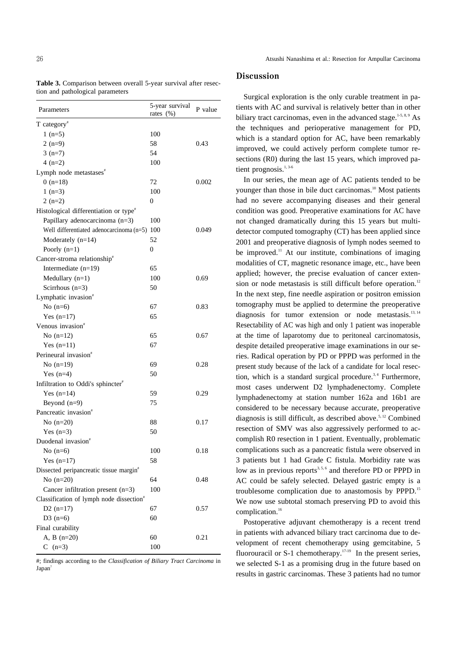| Parameters                                           | 5-year survival | P value |
|------------------------------------------------------|-----------------|---------|
|                                                      | rates (%)       |         |
| $T$ category <sup>#</sup><br>1 $(n=5)$               | 100             |         |
| $2(n=9)$                                             | 58              | 0.43    |
| $3(n=7)$                                             | 54              |         |
| $4(n=2)$                                             | 100             |         |
| Lymph node metastases <sup>#</sup>                   |                 |         |
| 0 $(n=18)$                                           | 72              | 0.002   |
| 1 $(n=3)$                                            | 100             |         |
| $2(n=2)$                                             | $\overline{0}$  |         |
| Histological differentiation or type <sup>#</sup>    |                 |         |
| Papillary adenocarcinoma (n=3)                       | 100             |         |
| Well differentiated adenocarcinoma (n=5)             | 100             | 0.049   |
| Moderately $(n=14)$                                  | 52              |         |
| Poorly $(n=1)$                                       | 0               |         |
| Cancer-stroma relationship <sup>#</sup>              |                 |         |
| Intermediate $(n=19)$                                | 65              |         |
| Medullary $(n=1)$                                    | 100             | 0.69    |
| Scirrhous $(n=3)$                                    | 50              |         |
| Lymphatic invasion <sup>#</sup>                      |                 |         |
| No $(n=6)$                                           | 67              | 0.83    |
| Yes $(n=17)$                                         | 65              |         |
| Venous invasion <sup>#</sup>                         |                 |         |
| No $(n=12)$                                          | 65              | 0.67    |
| Yes $(n=11)$                                         | 67              |         |
| Perineural invasion <sup>#</sup>                     |                 |         |
| No $(n=19)$                                          | 69              | 0.28    |
| Yes $(n=4)$                                          | 50              |         |
| Infiltration to Oddi's sphincter <sup>#</sup>        |                 |         |
| Yes $(n=14)$                                         | 59              | 0.29    |
| Beyond $(n=9)$                                       | 75              |         |
| Pancreatic invasion <sup>#</sup>                     |                 |         |
| No $(n=20)$                                          | 88              | 0.17    |
| Yes $(n=3)$                                          | 50              |         |
| Duodenal invasion <sup>*</sup>                       |                 |         |
| No $(n=6)$                                           | 100             | 0.18    |
| Yes $(n=17)$                                         | 58              |         |
| Dissected peripancreatic tissue margin <sup>#</sup>  |                 |         |
| No $(n=20)$                                          | 64              | 0.48    |
| Cancer infiltration present $(n=3)$                  | 100             |         |
| Classification of lymph node dissection <sup>#</sup> |                 |         |
| $D2(n=17)$                                           | 67              | 0.57    |
| $D3(n=6)$                                            | 60              |         |
| Final curability                                     |                 |         |
| A, B $(n=20)$                                        | 60              | 0.21    |
| С<br>$(n=3)$                                         | 100             |         |

**Table 3.** Comparison between overall 5-year survival after resection and pathological parameters

#; findings according to the *Classification of Biliary Tract Carcinoma* in Japan<sup>7</sup>

## Discussion

Surgical exploration is the only curable treatment in patients with AC and survival is relatively better than in other biliary tract carcinomas, even in the advanced stage.<sup>1-5, 8, 9</sup> As the techniques and perioperative management for PD, which is a standard option for AC, have been remarkably improved, we could actively perform complete tumor resections (R0) during the last 15 years, which improved patient prognosis.<sup>1,3-6</sup>

In our series, the mean age of AC patients tended to be younger than those in bile duct carcinomas.<sup>10</sup> Most patients had no severe accompanying diseases and their general condition was good. Preoperative examinations for AC have not changed dramatically during this 15 years but multidetector computed tomography (CT) has been applied since 2001 and preoperative diagnosis of lymph nodes seemed to be improved.<sup>11</sup> At our institute, combinations of imaging modalities of CT, magnetic resonance image, etc., have been applied; however, the precise evaluation of cancer extension or node metastasis is still difficult before operation.<sup>12</sup> In the next step, fine needle aspiration or positron emission tomography must be applied to determine the preoperative diagnosis for tumor extension or node metastasis.<sup>13, 14</sup> Resectability of AC was high and only 1 patient was inoperable at the time of laparotomy due to peritoneal carcinomatosis, despite detailed preoperative image examinations in our series. Radical operation by PD or PPPD was performed in the present study because of the lack of a candidate for local resection, which is a standard surgical procedure.<sup>3,4</sup> Furthermore, most cases underwent D2 lymphadenectomy. Complete lymphadenectomy at station number 162a and 16b1 are considered to be necessary because accurate, preoperative diagnosis is still difficult, as described above. 5, <sup>12</sup> Combined resection of SMV was also aggressively performed to accomplish R0 resection in 1 patient. Eventually, problematic complications such as a pancreatic fistula were observed in 3 patients but 1 had Grade C fistula. Morbidity rate was low as in previous reports<sup>3,5,6</sup> and therefore PD or PPPD in AC could be safely selected. Delayed gastric empty is a troublesome complication due to anastomosis by PPPD. 15 We now use subtotal stomach preserving PD to avoid this complication. 16

Postoperative adjuvant chemotherapy is a recent trend in patients with advanced biliary tract carcinoma due to development of recent chemotherapy using gemcitabine, 5 fluorouracil or S-1 chemotherapy.<sup>17-19</sup> In the present series, we selected S-1 as a promising drug in the future based on results in gastric carcinomas. These 3 patients had no tumor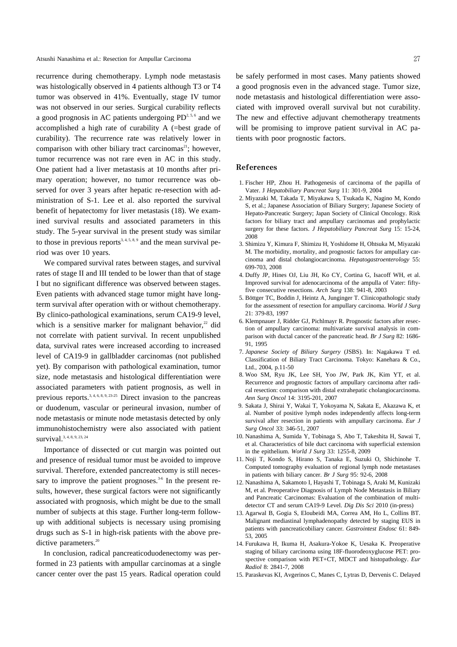recurrence during chemotherapy. Lymph node metastasis was histologically observed in 4 patients although T3 or T4 tumor was observed in 41%. Eventually, stage IV tumor was not observed in our series. Surgical curability reflects a good prognosis in AC patients undergoing  $PD^{2.5,6}$  and we accomplished a high rate of curability A (=best grade of curability). The recurrence rate was relatively lower in comparison with other biliary tract carcinomas<sup>21</sup>; however, tumor recurrence was not rare even in AC in this study. One patient had a liver metastasis at 10 months after primary operation; however, no tumor recurrence was observed for over 3 years after hepatic re-resection with administration of S-1. Lee et al. also reported the survival benefit of hepatectomy for liver metastasis (18). We examined survival results and associated parameters in this study. The 5-year survival in the present study was similar to those in previous reports<sup>3, 4, 5, 8, 9</sup> and the mean survival period was over 10 years.

We compared survival rates between stages, and survival rates of stage II and III tended to be lower than that of stage I but no significant difference was observed between stages. Even patients with advanced stage tumor might have longterm survival after operation with or without chemotherapy. By clinico-pathological examinations, serum CA19-9 level, which is a sensitive marker for malignant behavior, $2$  did not correlate with patient survival. In recent unpublished data, survival rates were increased according to increased level of CA19-9 in gallbladder carcinomas (not published yet). By comparison with pathological examination, tumor size, node metastasis and histological differentiation were associated parameters with patient prognosis, as well in previous reports.<sup>3, 4, 6, 8, 9, 23-25</sup> Direct invasion to the pancreas or duodenum, vascular or perineural invasion, number of node metastasis or minute node metastasis detected by only immunohistochemistry were also associated with patient survival.<sup>3, 4, 8, 9, 23, 24</sup>

Importance of dissected or cut margin was pointed out and presence of residual tumor must be avoided to improve survival. Therefore, extended pancreatectomy is still necessary to improve the patient prognoses.<sup>3-6</sup> In the present results, however, these surgical factors were not significantly associated with prognosis, which might be due to the small number of subjects at this stage. Further long-term followup with additional subjects is necessary using promising drugs such as S-1 in high-risk patients with the above predictive parameters.<sup>20</sup>

In conclusion, radical pancreaticoduodenectomy was performed in 23 patients with ampullar carcinomas at a single cancer center over the past 15 years. Radical operation could

be safely performed in most cases. Many patients showed a good prognosis even in the advanced stage. Tumor size, node metastasis and histological differentiation were associated with improved overall survival but not curability. The new and effective adjuvant chemotherapy treatments will be promising to improve patient survival in AC patients with poor prognostic factors.

### References

- 1. Fischer HP, Zhou H. Pathogenesis of carcinoma of the papilla of Vater. J *Hepatobiliary Pancreat Surg* 11: 301-9, 2004
- 2. Miyazaki M, Takada T, Miyakawa S, Tsukada K, Nagino M, Kondo S, et al.; Japanese Association of Biliary Surgery; Japanese Society of Hepato-Pancreatic Surgery; Japan Society of Clinical Oncology. Risk factors for biliary tract and ampullary carcinomas and prophylactic surgery for these factors. *J Hepatobiliary Pancreat Surg* 15: 15-24, 2008
- 3. Shimizu Y, Kimura F, Shimizu H, Yoshidome H, Ohtsuka M, Miyazaki M. The morbidity, mortality, and prognostic factors for ampullary carcinoma and distal cholangiocarcinoma. *Hepatogastroenterology* 55: 699-703, 2008
- 4. Duffy JP, Hines OJ, Liu JH, Ko CY, Cortina G, Isacoff WH, et al. Improved survival for adenocarcinoma of the ampulla of Vater: fiftyfive consecutive resections. *Arch Surg* 138: 941-8, 2003
- 5. Böttger TC, Boddin J, Heintz A, Junginger T. Clinicopathologic study for the assessment of resection for ampullary carcinoma. *World J Surg* 21: 379-83, 1997
- 6. Klempnauer J, Ridder GJ, Pichlmayr R. Prognostic factors after resection of ampullary carcinoma: multivariate survival analysis in comparison with ductal cancer of the pancreatic head. *Br J Surg* 82: 1686- 91, 1995
- 7. *Japanese Society of Biliary Surgery* (JSBS). In: Nagakawa T ed. Classification of Biliary Tract Carcinoma. Tokyo: Kanehara & Co., Ltd., 2004, p.11-50
- 8. Woo SM, Ryu JK, Lee SH, Yoo JW, Park JK, Kim YT, et al. Recurrence and prognostic factors of ampullary carcinoma after radical resection: comparison with distal extrahepatic cholangiocarcinoma. *Ann Surg Oncol* 14: 3195-201, 2007
- 9. Sakata J, Shirai Y, Wakai T, Yokoyama N, Sakata E, Akazawa K, et al. Number of positive lymph nodes independently affects long-term survival after resection in patients with ampullary carcinoma. *Eur J Surg Oncol* 33: 346-51, 2007
- 10. Nanashima A, Sumida Y, Tobinaga S, Abo T, Takeshita H, Sawai T, et al. Characteristics of bile duct carcinoma with superficial extension in the epithelium. *World J Surg* 33: 1255-8, 2009
- 11. Noji T, Kondo S, Hirano S, Tanaka E, Suzuki O, Shichinohe T. Computed tomography evaluation of regional lymph node metastases in patients with biliary cancer. *Br J Surg* 95: 92-6, 2008
- 12. Nanashima A, Sakamoto I, Hayashi T, Tobinaga S, Araki M, Kunizaki M, et al. Preoperative Diagnosis of Lymph Node Metastasis in Biliary and Pancreatic Carcinomas: Evaluation of the combination of multidetector CT and serum CA19-9 Level. *Dig Dis Sci* 2010 (in-press)
- 13. Agarwal B, Gogia S, Eloubeidi MA, Correa AM, Ho L, Collins BT. Malignant mediastinal lymphadenopathy detected by staging EUS in patients with pancreaticobiliary cancer. *Gastrointest Endosc* 61: 849- 53, 2005
- 14. Furukawa H, Ikuma H, Asakura-Yokoe K, Uesaka K. Preoperative staging of biliary carcinoma using 18F-fluorodeoxyglucose PET: prospective comparison with PET+CT, MDCT and histopathology. *Eur Radiol* 8: 2841-7, 2008
- 15. Paraskevas KI, Avgerinos C, Manes C, Lytras D, Dervenis C. Delayed